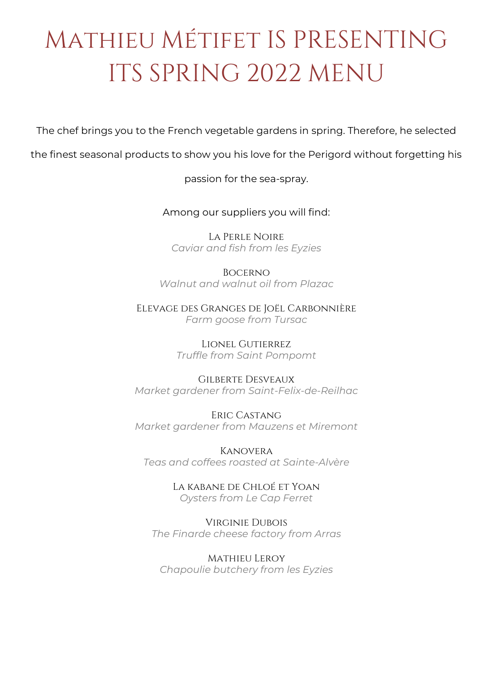# Mathieu Métifet IS PRESENTING ITS SPRING 2022 MENU

The chef brings you to the French vegetable gardens in spring. Therefore, he selected

the finest seasonal products to show you his love for the Perigord without forgetting his

passion for the sea-spray.

Among our suppliers you will find:

La Perle Noire *Caviar and fish from les Eyzies*

Bocerno *Walnut and walnut oil from Plazac*

Elevage des Granges de Joël Carbonnière *Farm goose from Tursac*

> Lionel Gutierrez *Truffle from Saint Pompomt*

Gilberte Desveaux *Market gardener from Saint-Felix-de-Reilhac*

Eric Castang *Market gardener from Mauzens et Miremont* 

Kanovera *Teas and coffees roasted at Sainte-Alvère*

> La kabane de Chloé et Yoan *Oysters from Le Cap Ferret*

Virginie Dubois *The Finarde cheese factory from Arras*

Mathieu Leroy *Chapoulie butchery from les Eyzies*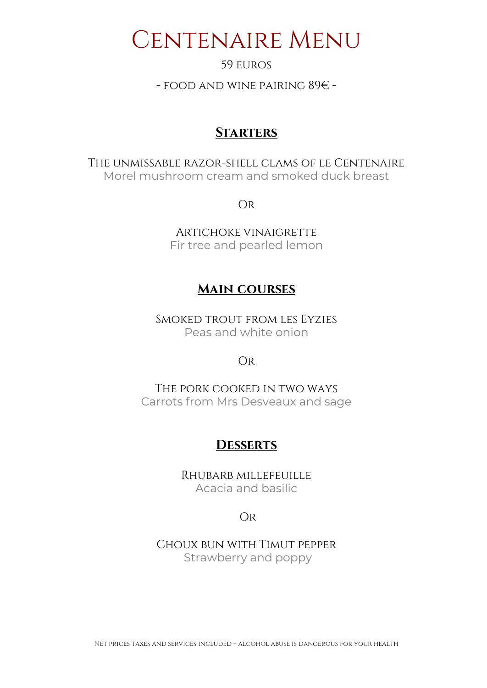### CENTENAIRE MENU

#### 59 euros

- food and wine pairing 89€ -

#### **Starters**

The unmissable razor-shell clams of le Centenaire Morel mushroom cream and smoked duck breast

Or

Artichoke vinaigrette Fir tree and pearled lemon

#### **Main courses**

Smoked trout from les Eyzies Peas and white onion

#### Or

The pork cooked in two ways Carrots from Mrs Desveaux and sage

#### **Desserts**

Rhubarb millefeuille Acacia and basilic

#### Or

Choux bun with Timut pepper Strawberry and poppy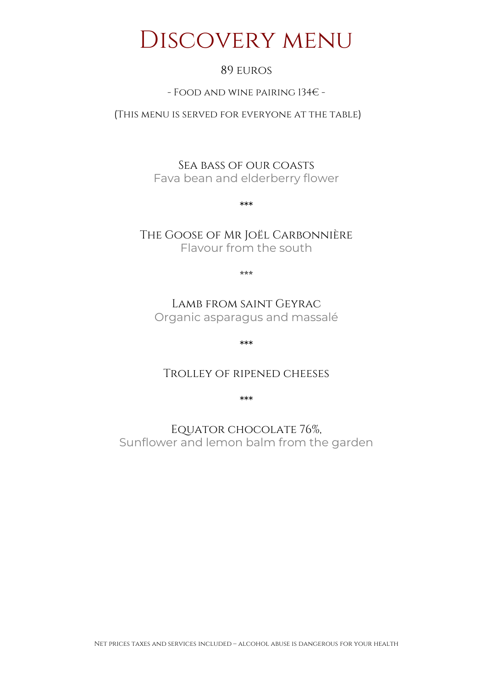### DISCOVERY MENU

#### 89 euros

#### - Food and wine pairing 134€ -

(This menu is served for everyone at the table)

Sea bass of our coasts Fava bean and elderberry flower

\*\*\*

The Goose of Mr Joël Carbonnière Flavour from the south

\*\*\*

Lamb from saint Geyrac Organic asparagus and massalé

\*\*\*

#### Trolley of ripened cheeses

\*\*\*

Equator chocolate 76%, Sunflower and lemon balm from the garden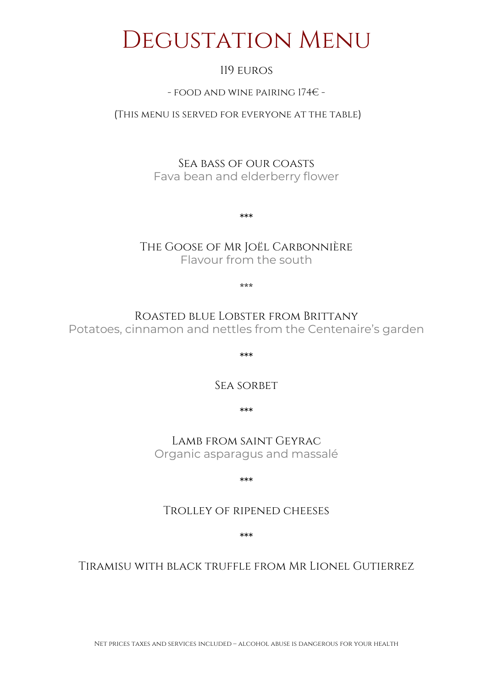### DEGUSTATION MENU

#### 119 euros

#### - food and wine pairing 174€ -

#### (This menu is served for everyone at the table)

Sea bass of our coasts Fava bean and elderberry flower

The Goose of Mr Joël Carbonnière Flavour from the south

\*\*\*

\*\*\*

Roasted blue Lobster from Brittany Potatoes, cinnamon and nettles from the Centenaire's garden

\*\*\*

SEA SORBET

\*\*\*

Lamb from saint Geyrac Organic asparagus and massalé

\*\*\*

#### Trolley of ripened cheeses

\*\*\*

#### Tiramisu with black truffle from Mr Lionel Gutierrez

Net prices taxes and services included – alcohol abuse is dangerous for your health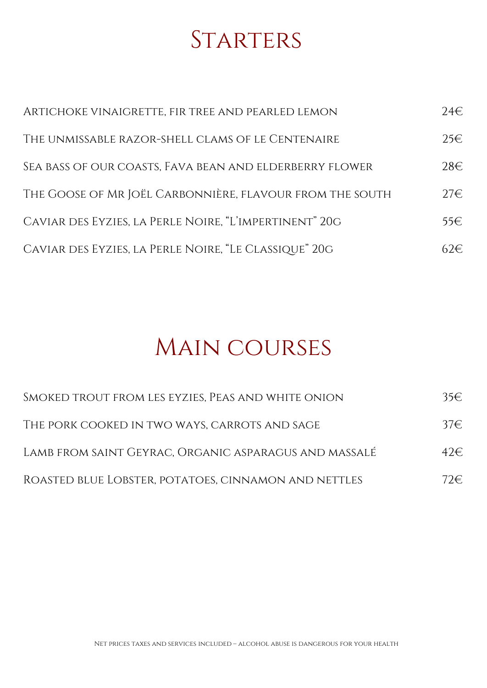## **STARTERS**

| ARTICHOKE VINAIGRETTE, FIR TREE AND PEARLED LEMON        | $24 \in$ |
|----------------------------------------------------------|----------|
| THE UNMISSABLE RAZOR-SHELL CLAMS OF LE CENTENAIRE        | $25 \in$ |
| SEA BASS OF OUR COASTS, FAVA BEAN AND ELDERBERRY FLOWER  | $28 \in$ |
| THE GOOSE OF MR JOËL CARBONNIÈRE, FLAVOUR FROM THE SOUTH | $27 \in$ |
| CAVIAR DES EYZIES, LA PERLE NOIRE, "L'IMPERTINENT" 20G   | 55€      |
| CAVIAR DES EYZIES, LA PERLE NOIRE, "LE CLASSIQUE" 20G    | 62€.     |

## MAIN COURSES

| SMOKED TROUT FROM LES EYZIES, PEAS AND WHITE ONION    | 35€  |
|-------------------------------------------------------|------|
| THE PORK COOKED IN TWO WAYS, CARROTS AND SAGE         | 37€. |
| LAMB FROM SAINT GEYRAC, ORGANIC ASPARAGUS AND MASSALÉ | 42E  |
| ROASTED BLUE LOBSTER, POTATOES, CINNAMON AND NETTLES  | 72E  |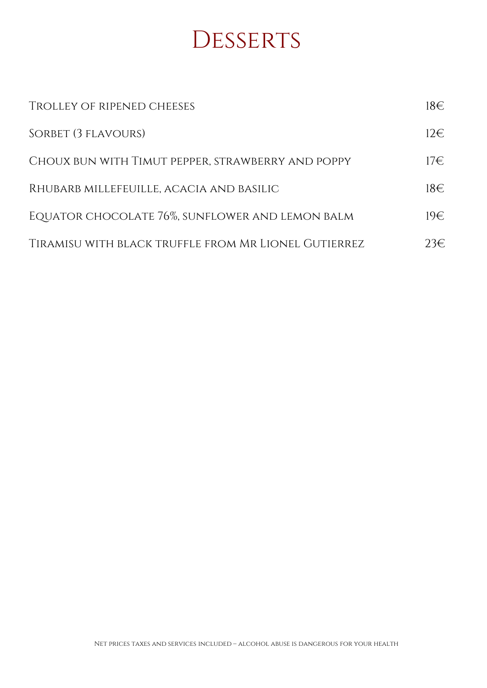### **DESSERTS**

| <b>TROLLEY OF RIPENED CHEESES</b>                    | 18€             |
|------------------------------------------------------|-----------------|
| SORBET (3 FLAVOURS)                                  | $12 \in$        |
| CHOUX BUN WITH TIMUT PEPPER, STRAWBERRY AND POPPY    | 17 <sup>2</sup> |
| RHUBARB MILLEFEUILLE, ACACIA AND BASILIC             | $18 \in$        |
| EQUATOR CHOCOLATE 76%, SUNFLOWER AND LEMON BALM      | 19€             |
| TIRAMISU WITH BLACK TRUFFLE FROM MR LIONEL GUTIERREZ | 23€             |